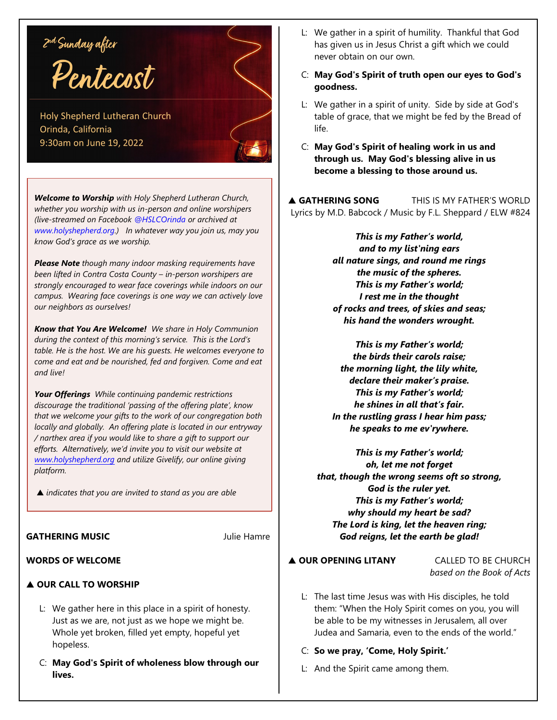

*Welcome to Worship with Holy Shepherd Lutheran Church, whether you worship with us in-person and online worshipers (live-streamed on Facebook @HSLCOrinda or archived at www.holyshepherd.org.) In whatever way you join us, may you know God's grace as we worship.* 

*Please Note though many indoor masking requirements have been lifted in Contra Costa County – in-person worshipers are strongly encouraged to wear face coverings while indoors on our campus. Wearing face coverings is one way we can actively love our neighbors as ourselves!* 

*Know that You Are Welcome! We share in Holy Communion during the context of this morning's service. This is the Lord's table. He is the host. We are his guests. He welcomes everyone to come and eat and be nourished, fed and forgiven. Come and eat and live!*

*Your Offerings While continuing pandemic restrictions discourage the traditional 'passing of the offering plate', know that we welcome your gifts to the work of our congregation both locally and globally. An offering plate is located in our entryway / narthex area if you would like to share a gift to support our efforts. Alternatively, we'd invite you to visit our website at [www.holyshepherd.org](http://www.holyshepherd.org) and utilize Givelify, our online giving platform.*

*indicates that you are invited to stand as you are able*

#### **GATHERING MUSIC** Julie Hamre

## **WORDS OF WELCOME**

## **OUR CALL TO WORSHIP**

- L: We gather here in this place in a spirit of honesty. Just as we are, not just as we hope we might be. Whole yet broken, filled yet empty, hopeful yet hopeless.
- C: **May God's Spirit of wholeness blow through our lives.**
- L: We gather in a spirit of humility. Thankful that God has given us in Jesus Christ a gift which we could never obtain on our own.
- C: **May God's Spirit of truth open our eyes to God's goodness.**
- L: We gather in a spirit of unity. Side by side at God's table of grace, that we might be fed by the Bread of life.
- C: **May God's Spirit of healing work in us and through us. May God's blessing alive in us become a blessing to those around us.**

 **GATHERING SONG** THIS IS MY FATHER'S WORLD Lyrics by M.D. Babcock / Music by F.L. Sheppard / ELW #824

> *This is my Father's world, and to my list'ning ears all nature sings, and round me rings the music of the spheres. This is my Father's world; I rest me in the thought of rocks and trees, of skies and seas; his hand the wonders wrought.*

> *This is my Father's world; the birds their carols raise; the morning light, the lily white, declare their maker's praise. This is my Father's world; he shines in all that's fair. In the rustling grass I hear him pass; he speaks to me ev'rywhere.*

*This is my Father's world; oh, let me not forget that, though the wrong seems oft so strong, God is the ruler yet. This is my Father's world; why should my heart be sad? The Lord is king, let the heaven ring; God reigns, let the earth be glad!*

# **A OUR OPENING LITANY** CALLED TO BE CHURCH

*based on the Book of Acts*

L: The last time Jesus was with His disciples, he told them: "When the Holy Spirit comes on you, you will be able to be my witnesses in Jerusalem, all over Judea and Samaria, even to the ends of the world."

### C: **So we pray, 'Come, Holy Spirit.'**

L: And the Spirit came among them.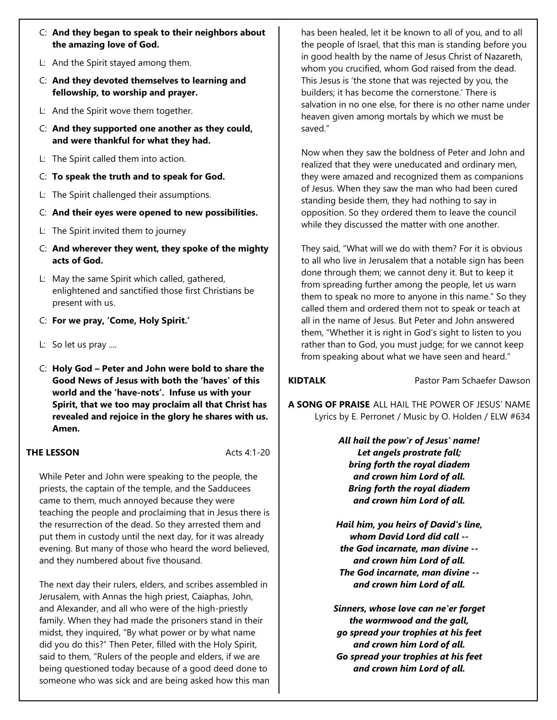- C: **And they began to speak to their neighbors about the amazing love of God.**
- L: And the Spirit stayed among them.
- C: **And they devoted themselves to learning and fellowship, to worship and prayer.**
- L: And the Spirit wove them together.
- C: **And they supported one another as they could, and were thankful for what they had.**
- L: The Spirit called them into action.
- C: **To speak the truth and to speak for God.**
- L: The Spirit challenged their assumptions.
- C: **And their eyes were opened to new possibilities.**
- L: The Spirit invited them to journey
- C: **And wherever they went, they spoke of the mighty acts of God.**
- L: May the same Spirit which called, gathered, enlightened and sanctified those first Christians be present with us.
- C: **For we pray, 'Come, Holy Spirit.'**
- L: So let us pray ....
- C: **Holy God Peter and John were bold to share the Good News of Jesus with both the 'haves' of this world and the 'have-nots'. Infuse us with your Spirit, that we too may proclaim all that Christ has revealed and rejoice in the glory he shares with us. Amen.**

## **THE LESSON** Acts 4:1-20

While Peter and John were speaking to the people, the priests, the captain of the temple, and the Sadducees came to them, much annoyed because they were teaching the people and proclaiming that in Jesus there is the resurrection of the dead. So they arrested them and put them in custody until the next day, for it was already evening. But many of those who heard the word believed, and they numbered about five thousand.

The next day their rulers, elders, and scribes assembled in Jerusalem, with Annas the high priest, Caiaphas, John, and Alexander, and all who were of the high-priestly family. When they had made the prisoners stand in their midst, they inquired, "By what power or by what name did you do this?" Then Peter, filled with the Holy Spirit, said to them, "Rulers of the people and elders, if we are being questioned today because of a good deed done to someone who was sick and are being asked how this man has been healed, let it be known to all of you, and to all the people of Israel, that this man is standing before you in good health by the name of Jesus Christ of Nazareth, whom you crucified, whom God raised from the dead. This Jesus is 'the stone that was rejected by you, the builders; it has become the cornerstone.' There is salvation in no one else, for there is no other name under heaven given among mortals by which we must be saved."

Now when they saw the boldness of Peter and John and realized that they were uneducated and ordinary men, they were amazed and recognized them as companions of Jesus. When they saw the man who had been cured standing beside them, they had nothing to say in opposition. So they ordered them to leave the council while they discussed the matter with one another.

They said, "What will we do with them? For it is obvious to all who live in Jerusalem that a notable sign has been done through them; we cannot deny it. But to keep it from spreading further among the people, let us warn them to speak no more to anyone in this name." So they called them and ordered them not to speak or teach at all in the name of Jesus. But Peter and John answered them, "Whether it is right in God's sight to listen to you rather than to God, you must judge; for we cannot keep from speaking about what we have seen and heard."

**KIDTALK** Pastor Pam Schaefer Dawson

**A SONG OF PRAISE** ALL HAIL THE POWER OF JESUS' NAME Lyrics by E. Perronet / Music by O. Holden / ELW #634

> *All hail the pow'r of Jesus' name! Let angels prostrate fall; bring forth the royal diadem and crown him Lord of all. Bring forth the royal diadem and crown him Lord of all.*

*Hail him, you heirs of David's line, whom David Lord did call - the God incarnate, man divine - and crown him Lord of all. The God incarnate, man divine - and crown him Lord of all.*

*Sinners, whose love can ne'er forget the wormwood and the gall, go spread your trophies at his feet and crown him Lord of all. Go spread your trophies at his feet and crown him Lord of all.*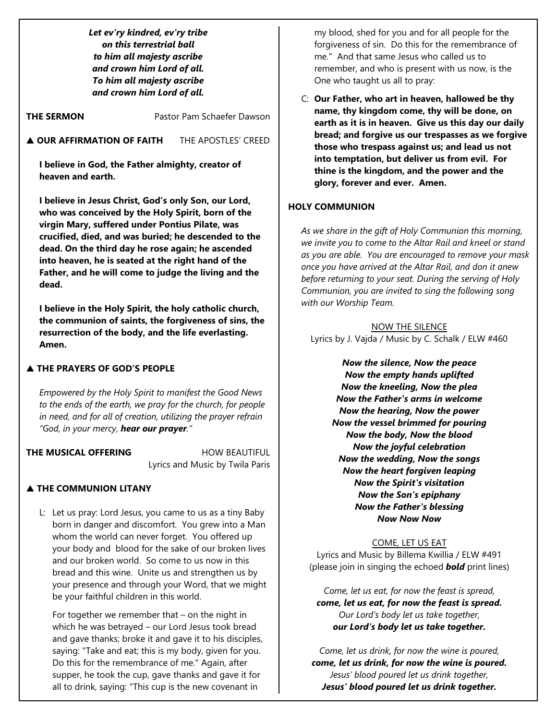*Let ev'ry kindred, ev'ry tribe on this terrestrial ball to him all majesty ascribe and crown him Lord of all. To him all majesty ascribe and crown him Lord of all.*

**THE SERMON Pastor Pam Schaefer Dawson** 

 **OUR AFFIRMATION OF FAITH** THE APOSTLES' CREED

**I believe in God, the Father almighty, creator of heaven and earth.**

**I believe in Jesus Christ, God's only Son, our Lord, who was conceived by the Holy Spirit, born of the virgin Mary, suffered under Pontius Pilate, was crucified, died, and was buried; he descended to the dead. On the third day he rose again; he ascended into heaven, he is seated at the right hand of the Father, and he will come to judge the living and the dead.**

**I believe in the Holy Spirit, the holy catholic church, the communion of saints, the forgiveness of sins, the resurrection of the body, and the life everlasting. Amen.**

#### **THE PRAYERS OF GOD'S PEOPLE**

*Empowered by the Holy Spirit to manifest the Good News to the ends of the earth, we pray for the church, for people in need, and for all of creation, utilizing the prayer refrain "God, in your mercy, hear our prayer."*

**THE MUSICAL OFFERING HOW BEAUTIFUL** Lyrics and Music by Twila Paris

## **A THE COMMUNION LITANY**

L: Let us pray: Lord Jesus, you came to us as a tiny Baby born in danger and discomfort. You grew into a Man whom the world can never forget. You offered up your body and blood for the sake of our broken lives and our broken world. So come to us now in this bread and this wine. Unite us and strengthen us by your presence and through your Word, that we might be your faithful children in this world.

For together we remember that – on the night in which he was betrayed – our Lord Jesus took bread and gave thanks; broke it and gave it to his disciples, saying: "Take and eat; this is my body, given for you. Do this for the remembrance of me." Again, after supper, he took the cup, gave thanks and gave it for all to drink, saying: "This cup is the new covenant in

my blood, shed for you and for all people for the forgiveness of sin. Do this for the remembrance of me." And that same Jesus who called us to remember, and who is present with us now, is the One who taught us all to pray:

C: **Our Father, who art in heaven, hallowed be thy name, thy kingdom come, thy will be done, on earth as it is in heaven. Give us this day our daily bread; and forgive us our trespasses as we forgive those who trespass against us; and lead us not into temptation, but deliver us from evil. For thine is the kingdom, and the power and the glory, forever and ever. Amen.**

#### **HOLY COMMUNION**

*As we share in the gift of Holy Communion this morning, we invite you to come to the Altar Rail and kneel or stand as you are able. You are encouraged to remove your mask once you have arrived at the Altar Rail, and don it anew before returning to your seat. During the serving of Holy Communion, you are invited to sing the following song with our Worship Team.*

NOW THE SILENCE Lyrics by J. Vajda / Music by C. Schalk / ELW #460

> *Now the silence, Now the peace Now the empty hands uplifted Now the kneeling, Now the plea Now the Father's arms in welcome Now the hearing, Now the power Now the vessel brimmed for pouring Now the body, Now the blood Now the joyful celebration Now the wedding, Now the songs Now the heart forgiven leaping Now the Spirit's visitation Now the Son's epiphany Now the Father's blessing Now Now Now*

#### COME, LET US EAT

Lyrics and Music by Billema Kwillia / ELW #491 (please join in singing the echoed *bold* print lines)

*Come, let us eat, for now the feast is spread, come, let us eat, for now the feast is spread. Our Lord's body let us take together, our Lord's body let us take together.*

*Come, let us drink, for now the wine is poured, come, let us drink, for now the wine is poured. Jesus' blood poured let us drink together, Jesus' blood poured let us drink together.*